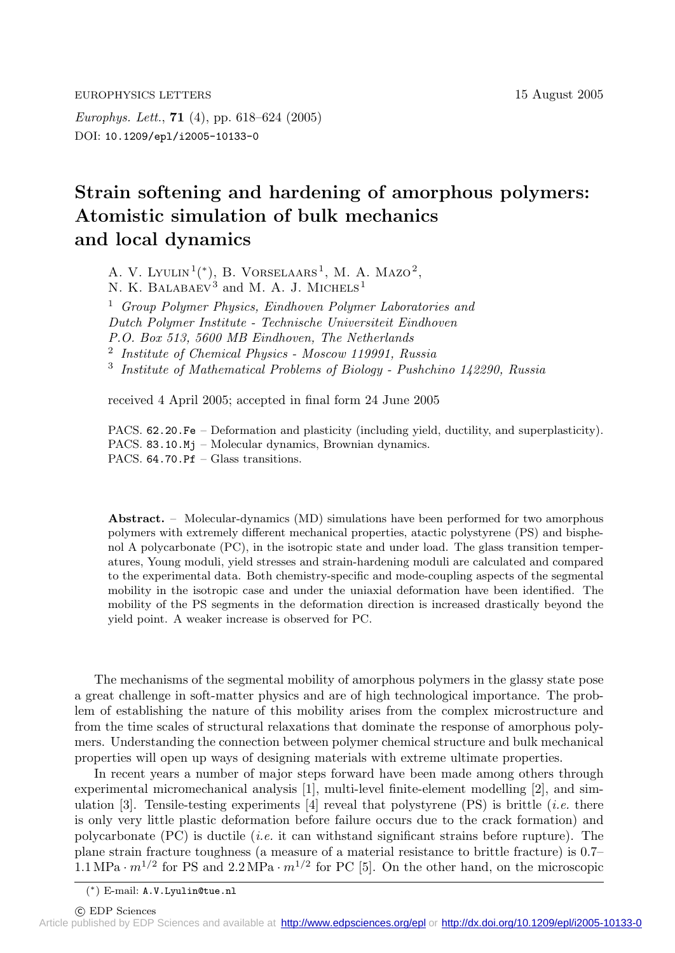EUROPHYSICS LETTERS 15 August 2005

*Europhys. Lett.*, **71** (4), pp. 618–624 (2005) DOI: 10.1209/epl/i2005-10133-0

## **Strain softening and hardening of amorphous polymers: Atomistic simulation of bulk mechanics and local dynamics**

A. V. LYULIN<sup>1</sup>(\*), B. VORSELAARS<sup>1</sup>, M. A. MAZO<sup>2</sup>, N. K. BALABAEV $\overset{\circ}{3}$  and M. A. J. MICHELS<sup>1</sup> <sup>1</sup> *Group Polymer Physics, Eindhoven Polymer Laboratories and Dutch Polymer Institute - Technische Universiteit Eindhoven P.O. Box 513, 5600 MB Eindhoven, The Netherlands* <sup>2</sup> *Institute of Chemical Physics - Moscow 119991, Russia* <sup>3</sup> *Institute of Mathematical Problems of Biology - Pushchino 142290, Russia*

received 4 April 2005; accepted in final form24 June 2005

PACS. 62.20.Fe – Deformation and plasticity (including yield, ductility, and superplasticity). PACS. 83.10.Mj – Molecular dynamics, Brownian dynamics. PACS. 64.70.Pf – Glass transitions.

**Abstract.** – Molecular-dynamics (MD) simulations have been performed for two amorphous polymers with extremely different mechanical properties, atactic polystyrene (PS) and bisphenol A polycarbonate (PC), in the isotropic state and under load. The glass transition temperatures, Young moduli, yield stresses and strain-hardening moduli are calculated and compared to the experimental data. Both chemistry-specific and mode-coupling aspects of the segmental mobility in the isotropic case and under the uniaxial deformation have been identified. The mobility of the PS segments in the deformation direction is increased drastically beyond the yield point. A weaker increase is observed for PC.

The mechanisms of the segmental mobility of amorphous polymers in the glassy state pose a great challenge in soft-matter physics and are of high technological importance. The problem of establishing the nature of this mobility arises from the complex microstructure and from the time scales of structural relaxations that dominate the response of amorphous polymers. Understanding the connection between polymer chemical structure and bulk mechanical properties will open up ways of designing materials with extreme ultimate properties.

In recent years a number of major steps forward have been made among others through experimental micromechanical analysis [1], multi-level finite-element modelling [2], and simulation  $[3]$ . Tensile-testing experiments  $[4]$  reveal that polystyrene  $(PS)$  is brittle *(i.e.* there is only very little plastic deformation before failure occurs due to the crack formation) and polycarbonate (PC) is ductile (*i.e.* it can withstand significant strains before rupture). The plane strain fracture toughness (a measure of a material resistance to brittle fracture) is 0.7– 1.1 MPa  $\cdot$  m<sup>1/2</sup> for PS and 2.2 MPa  $\cdot$  m<sup>1/2</sup> for PC [5]. On the other hand, on the microscopic

(∗) E-mail: A.V.Lyulin@tue.nl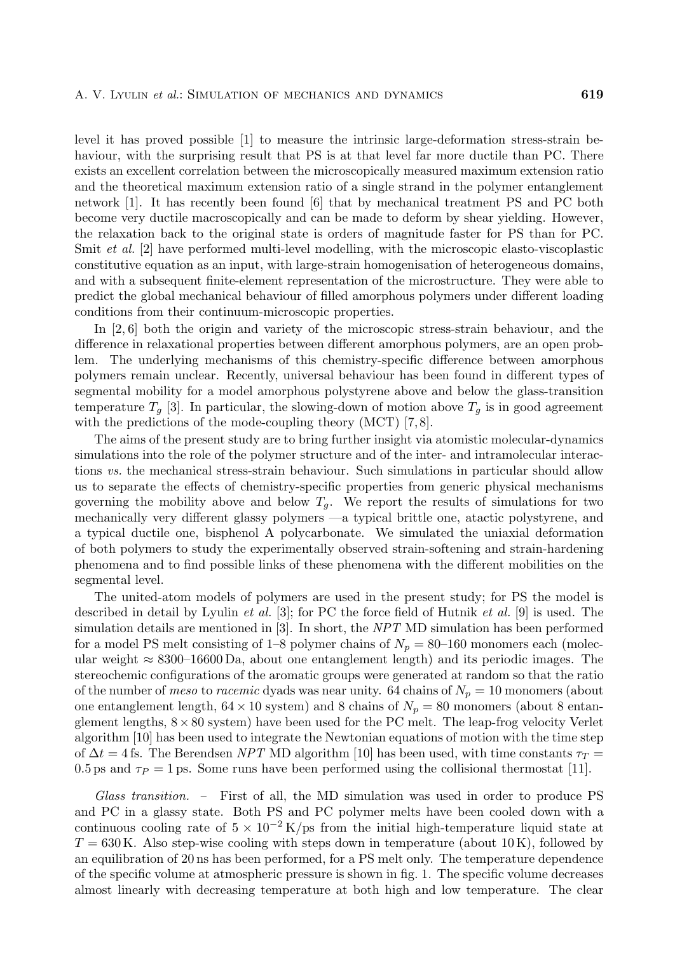level it has proved possible [1] to measure the intrinsic large-deformation stress-strain behaviour, with the surprising result that PS is at that level far more ductile than PC. There exists an excellent correlation between the microscopically measured maximum extension ratio and the theoretical maximum extension ratio of a single strand in the polymer entanglement network [1]. It has recently been found [6] that by mechanical treatment PS and PC both become very ductile macroscopically and can be made to deform by shear yielding. However, the relaxation back to the original state is orders of magnitude faster for PS than for PC. Smit *et al.* [2] have performed multi-level modelling, with the microscopic elasto-viscoplastic constitutive equation as an input, with large-strain homogenisation of heterogeneous domains, and with a subsequent finite-element representation of the microstructure. They were able to predict the global mechanical behaviour of filled amorphous polymers under different loading conditions from their continuum-microscopic properties.

In [2, 6] both the origin and variety of the microscopic stress-strain behaviour, and the difference in relaxational properties between different amorphous polymers, are an open problem. The underlying mechanisms of this chemistry-specific difference between amorphous polymers remain unclear. Recently, universal behaviour has been found in different types of segmental mobility for a model amorphous polystyrene above and below the glass-transition temperature  $T_q$  [3]. In particular, the slowing-down of motion above  $T_q$  is in good agreement with the predictions of the mode-coupling theory  $(MCT)$  [7,8].

The aims of the present study are to bring further insight via atomistic molecular-dynamics simulations into the role of the polymer structure and of the inter- and intramolecular interactions *vs.* the mechanical stress-strain behaviour. Such simulations in particular should allow us to separate the effects of chemistry-specific properties from generic physical mechanisms governing the mobility above and below  $T_g$ . We report the results of simulations for two mechanically very different glassy polymers —a typical brittle one, atactic polystyrene, and a typical ductile one, bisphenol A polycarbonate. We simulated the uniaxial deformation of both polymers to study the experimentally observed strain-softening and strain-hardening phenomena and to find possible links of these phenomena with the different mobilities on the segmental level.

The united-atom models of polymers are used in the present study; for PS the model is described in detail by Lyulin *et al.* [3]; for PC the force field of Hutnik *et al.* [9] is used. The simulation details are mentioned in [3]. In short, the *NPT* MD simulation has been performed for a model PS melt consisting of 1–8 polymer chains of  $N_p = 80$ –160 monomers each (molecular weight  $\approx 8300$ –16600 Da, about one entanglement length) and its periodic images. The stereochemic configurations of the aromatic groups were generated at random so that the ratio of the number of *meso* to *racemic* dyads was near unity. 64 chains of  $N_p = 10$  monomers (about one entanglement length,  $64 \times 10$  system) and 8 chains of  $N_p = 80$  monomers (about 8 entanglement lengths,  $8 \times 80$  system) have been used for the PC melt. The leap-frog velocity Verlet algorithm [10] has been used to integrate the Newtonian equations of motion with the time step of  $\Delta t = 4$  fs. The Berendsen *NPT* MD algorithm [10] has been used, with time constants  $\tau_T =$ 0.5 ps and  $\tau_P = 1$  ps. Some runs have been performed using the collisional thermostat [11].

*Glass transition. –* First of all, the MD simulation was used in order to produce PS and PC in a glassy state. Both PS and PC polymer melts have been cooled down with a continuous cooling rate of  $5 \times 10^{-2}$  K/ps from the initial high-temperature liquid state at  $T = 630$  K. Also step-wise cooling with steps down in temperature (about 10 K), followed by an equilibration of 20 ns has been performed, for a PS melt only. The temperature dependence of the specific volume at atmospheric pressure is shown in fig. 1. The specific volume decreases almost linearly with decreasing temperature at both high and low temperature. The clear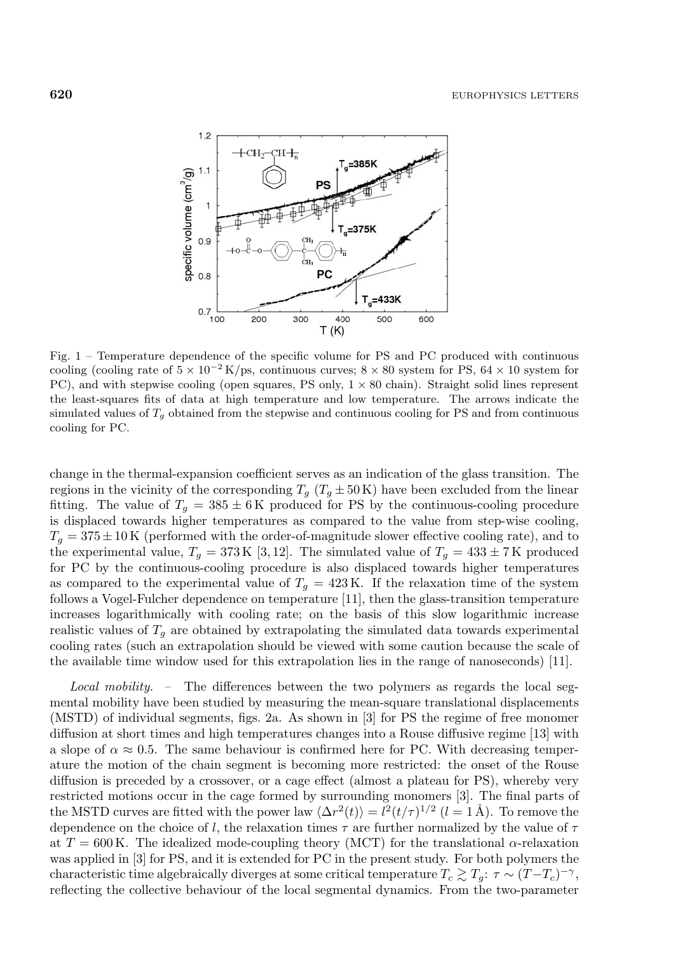

Fig. 1 – Temperature dependence of the specific volume for PS and PC produced with continuous cooling (cooling rate of  $5 \times 10^{-2}$  K/ps, continuous curves;  $8 \times 80$  system for PS,  $64 \times 10$  system for PC), and with stepwise cooling (open squares, PS only, 1 *×* 80 chain). Straight solid lines represent the least-squares fits of data at high temperature and low temperature. The arrows indicate the simulated values of  $T<sub>g</sub>$  obtained from the stepwise and continuous cooling for PS and from continuous cooling for PC.

change in the thermal-expansion coefficient serves as an indication of the glass transition. The regions in the vicinity of the corresponding  $T_g$  ( $T_g \pm 50 \text{ K}$ ) have been excluded from the linear fitting. The value of  $T_g = 385 \pm 6$  K produced for PS by the continuous-cooling procedure is displaced towards higher temperatures as compared to the value from step-wise cooling,  $T_g = 375 \pm 10$  K (performed with the order-of-magnitude slower effective cooling rate), and to the experimental value,  $T_g = 373 \text{ K } [3, 12]$ . The simulated value of  $T_g = 433 \pm 7 \text{ K }$  produced for PC by the continuous-cooling procedure is also displaced towards higher temperatures as compared to the experimental value of  $T_q = 423 \text{ K}$ . If the relaxation time of the system follows a Vogel-Fulcher dependence on temperature [11], then the glass-transition temperature increases logarithmically with cooling rate; on the basis of this slow logarithmic increase realistic values of  $T<sub>g</sub>$  are obtained by extrapolating the simulated data towards experimental cooling rates (such an extrapolation should be viewed with some caution because the scale of the available time window used for this extrapolation lies in the range of nanoseconds) [11].

*Local mobility. –* The differences between the two polymers as regards the local segmental mobility have been studied by measuring the mean-square translational displacements (MSTD) of individual segments, figs. 2a. As shown in [3] for PS the regime of free monomer diffusion at short times and high temperatures changes into a Rouse diffusive regime [13] with a slope of  $\alpha \approx 0.5$ . The same behaviour is confirmed here for PC. With decreasing temperature the motion of the chain segment is becoming more restricted: the onset of the Rouse diffusion is preceded by a crossover, or a cage effect (almost a plateau for PS), whereby very restricted motions occur in the cage formed by surrounding monomers [3]. The final parts of the MSTD curves are fitted with the power law  $\langle \Delta r^2(t) \rangle = l^2(t/\tau)^{1/2}$   $(l = 1 \text{ Å})$ . To remove the dependence on the choice of l, the relaxation times  $\tau$  are further normalized by the value of  $\tau$ at  $T = 600$  K. The idealized mode-coupling theory (MCT) for the translational  $\alpha$ -relaxation was applied in [3] for PS, and it is extended for PC in the present study. For both polymers the characteristic time algebraically diverges at some critical temperature  $T_c \gtrsim T_g$ :  $\tau \sim (T-T_c)^{-\gamma}$ , reflecting the collective behaviour of the local segmental dynamics. From the two-parameter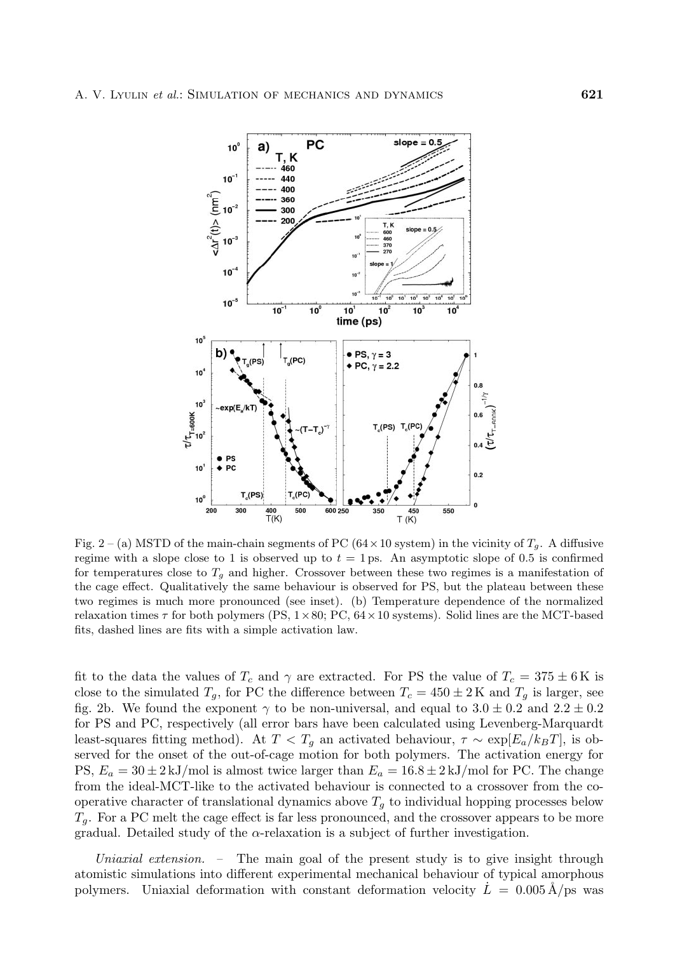

Fig. 2 – (a) MSTD of the main-chain segments of PC ( $64 \times 10$  system) in the vicinity of  $T_g$ . A diffusive regime with a slope close to 1 is observed up to  $t = 1$  ps. An asymptotic slope of 0.5 is confirmed for temperatures close to  $T<sub>g</sub>$  and higher. Crossover between these two regimes is a manifestation of the cage effect. Qualitatively the same behaviour is observed for PS, but the plateau between these two regimes is much more pronounced (see inset). (b) Temperature dependence of the normalized relaxation times  $\tau$  for both polymers (PS,  $1 \times 80$ ; PC,  $64 \times 10$  systems). Solid lines are the MCT-based fits, dashed lines are fits with a simple activation law.

fit to the data the values of  $T_c$  and  $\gamma$  are extracted. For PS the value of  $T_c = 375 \pm 6$  K is close to the simulated  $T_g$ , for PC the difference between  $T_c = 450 \pm 2 \,\mathrm{K}$  and  $T_g$  is larger, see fig. 2b. We found the exponent  $\gamma$  to be non-universal, and equal to  $3.0 \pm 0.2$  and  $2.2 \pm 0.2$ for PS and PC, respectively (all error bars have been calculated using Levenberg-Marquardt least-squares fitting method). At  $T < T_g$  an activated behaviour,  $\tau \sim \exp[E_a/k_BT]$ , is observed for the onset of the out-of-cage motion for both polymers. The activation energy for PS,  $E_a = 30 \pm 2 \text{ kJ/mol}$  is almost twice larger than  $E_a = 16.8 \pm 2 \text{ kJ/mol}$  for PC. The change fromthe ideal-MCT-like to the activated behaviour is connected to a crossover fromthe cooperative character of translational dynamics above  $T<sub>g</sub>$  to individual hopping processes below  $T_q$ . For a PC melt the cage effect is far less pronounced, and the crossover appears to be more gradual. Detailed study of the  $\alpha$ -relaxation is a subject of further investigation.

*Uniaxial extension. –* The main goal of the present study is to give insight through atomistic simulations into different experimental mechanical behaviour of typical amorphous polymers. Uniaxial deformation with constant deformation velocity  $L = 0.005 \text{ Å/ps}$  was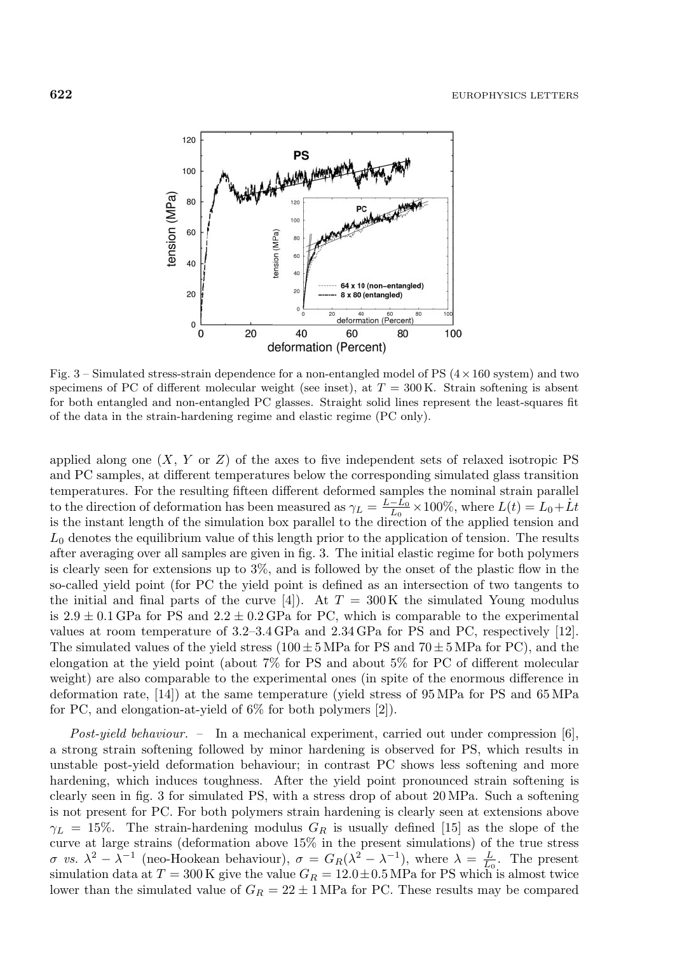

Fig. 3 – Simulated stress-strain dependence for a non-entangled model of PS (4*×*160 system) and two specimens of PC of different molecular weight (see inset), at  $T = 300 \text{ K}$ . Strain softening is absent for both entangled and non-entangled PC glasses. Straight solid lines represent the least-squares fit of the data in the strain-hardening regime and elastic regime (PC only).

applied along one  $(X, Y \text{ or } Z)$  of the axes to five independent sets of relaxed isotropic PS and PC samples, at different temperatures below the corresponding simulated glass transition temperatures. For the resulting fifteen different deformed samples the nominal strain parallel to the direction of deformation has been measured as  $\gamma_L = \frac{L - L_0}{L_0} \times 100\%$ , where  $L(t) = L_0 + \dot{L}t$  is the instant length of the simulation box parallel to the direction of the applied tension and  $L_0$  denotes the equilibrium value of this length prior to the application of tension. The results after averaging over all samples are given in fig. 3. The initial elastic regime for both polymers is clearly seen for extensions up to 3%, and is followed by the onset of the plastic flow in the so-called yield point (for PC the yield point is defined as an intersection of two tangents to the initial and final parts of the curve [4]). At  $T = 300 \,\mathrm{K}$  the simulated Young modulus is  $2.9 \pm 0.1$  GPa for PS and  $2.2 \pm 0.2$  GPa for PC, which is comparable to the experimental values at room temperature of  $3.2-3.4$  GPa and  $2.34$  GPa for PS and PC, respectively [12]. The simulated values of the yield stress  $(100 \pm 5 \text{ MPa}$  for PS and  $70 \pm 5 \text{ MPa}$  for PC), and the elongation at the yield point (about 7% for PS and about 5% for PC of different molecular weight) are also comparable to the experimental ones (in spite of the enormous difference in deformation rate, [14]) at the same temperature (yield stress of 95 MPa for PS and 65 MPa for PC, and elongation-at-yield of 6% for both polymers [2]).

*Post-yield behaviour. –* In a mechanical experiment, carried out under compression [6], a strong strain softening followed by minor hardening is observed for PS, which results in unstable post-yield deformation behaviour; in contrast PC shows less softening and more hardening, which induces toughness. After the yield point pronounced strain softening is clearly seen in fig. 3 for simulated PS, with a stress drop of about 20 MPa. Such a softening is not present for PC. For both polymers strain hardening is clearly seen at extensions above  $\gamma_L = 15\%$ . The strain-hardening modulus  $G_R$  is usually defined [15] as the slope of the curve at large strains (deformation above 15% in the present simulations) of the true stress σ *vs.*  $\lambda^2 - \lambda^{-1}$  (neo-Hookean behaviour),  $\sigma = G_R(\lambda^2 - \lambda^{-1})$ , where  $\lambda = \frac{L}{L_0}$ . The present simulation data at  $T = 300$  K give the value  $G_R = 12.0 \pm 0.5$  MPa for PS which is almost twice simulation data at  $T = 300 \text{ K}$  give the value  $G_R = 12.0 \pm 0.5 \text{ MPa}$  for PS which is almost twice lower than the simulated value of  $G_R = 22 \pm 1$  MPa for PC. These results may be compared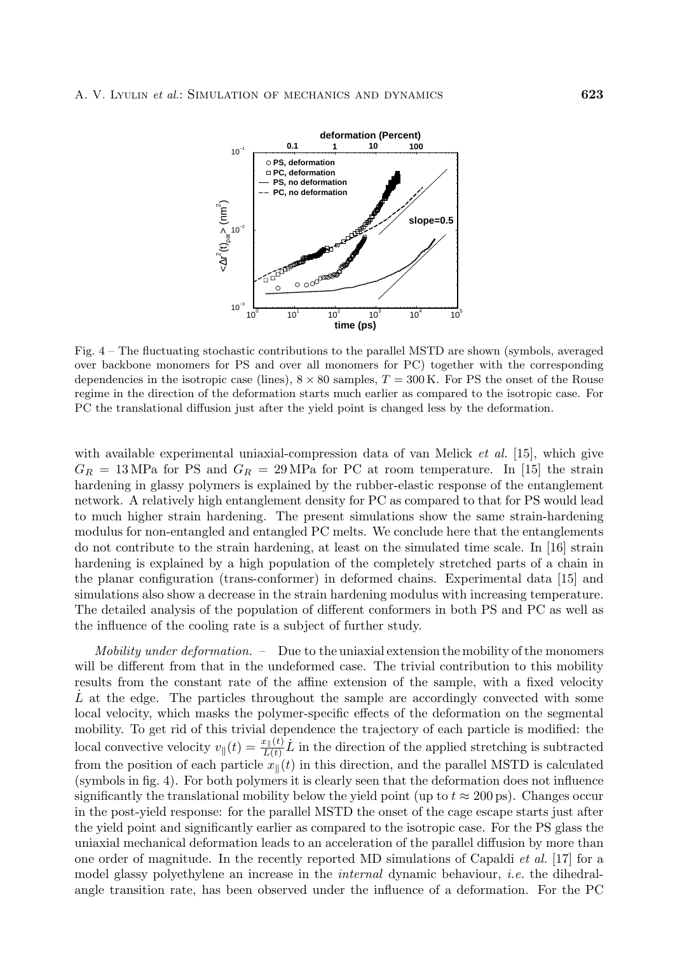

Fig. 4 – The fluctuating stochastic contributions to the parallel MSTD are shown (symbols, averaged over backbone monomers for PS and over all monomers for PC) together with the corresponding dependencies in the isotropic case (lines),  $8 \times 80$  samples,  $T = 300$  K. For PS the onset of the Rouse regime in the direction of the deformation starts much earlier as compared to the isotropic case. For PC the translational diffusion just after the yield point is changed less by the deformation.

with available experimental uniaxial-compression data of van Melick *et al.* [15], which give  $G_R = 13 \text{ MPa}$  for PS and  $G_R = 29 \text{ MPa}$  for PC at room temperature. In [15] the strain hardening in glassy polymers is explained by the rubber-elastic response of the entanglement network. A relatively high entanglement density for PC as compared to that for PS would lead to much higher strain hardening. The present simulations show the same strain-hardening modulus for non-entangled and entangled PC melts. We conclude here that the entanglements do not contribute to the strain hardening, at least on the simulated time scale. In [16] strain hardening is explained by a high population of the completely stretched parts of a chain in the planar configuration (trans-conformer) in deformed chains. Experimental data [15] and simulations also show a decrease in the strain hardening modulus with increasing temperature. The detailed analysis of the population of different conformers in both PS and PC as well as the influence of the cooling rate is a subject of further study.

*Mobility under deformation. –* Due to the uniaxial extension the mobility of the monomers will be different from that in the undeformed case. The trivial contribution to this mobility results from the constant rate of the affine extension of the sample, with a fixed velocity  $L$  at the edge. The particles throughout the sample are accordingly convected with some local velocity, which masks the polymer-specific effects of the deformation on the segmental mobility. To get rid of this trivial dependence the trajectory of each particle is modified: the local convective velocity  $v_{\parallel}(t) = \frac{x_{\parallel}(t)}{L(t)} \dot{L}$  in the direction of the applied stretching is subtracted<br>from the position of each particle  $x_{\parallel}(t)$  in this direction, and the parallel MSTD is calculated from the position of each particle  $x_{\parallel}(t)$  in this direction, and the parallel MSTD is calculated (symbols in fig. 4). For both polymers it is clearly seen that the deformation does not influence significantly the translational mobility below the yield point (up to  $t \approx 200 \,\text{ps}$ ). Changes occur in the post-yield response: for the parallel MSTD the onset of the cage escape starts just after the yield point and significantly earlier as compared to the isotropic case. For the PS glass the uniaxial mechanical deformation leads to an acceleration of the parallel diffusion by more than one order of magnitude. In the recently reported MD simulations of Capaldi *et al.* [17] for a model glassy polyethylene an increase in the *internal* dynamic behaviour, *i.e.* the dihedralangle transition rate, has been observed under the influence of a deformation. For the PC